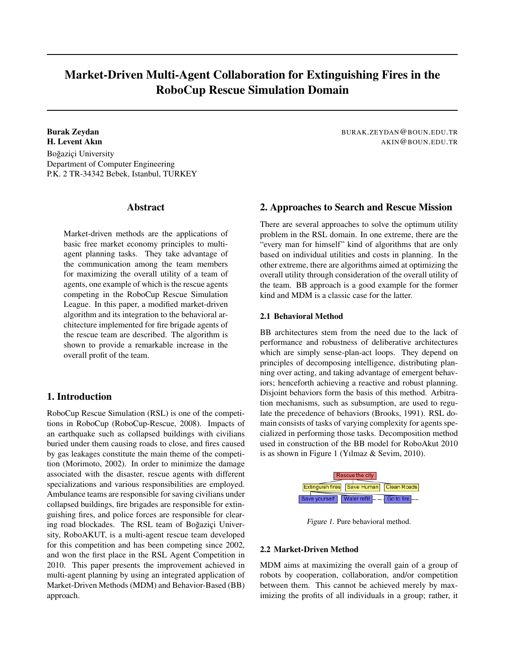# Market-Driven Multi-Agent Collaboration for Extinguishing Fires in the RoboCup Rescue Simulation Domain

Burak Zeydan BURAK.ZEYDAN@BOUN.EDU.TR H. Levent Akın AKIN@BOUN.EDU.TR Boğaziçi University Department of Computer Engineering P.K. 2 TR-34342 Bebek, Istanbul, TURKEY

#### **Abstract**

Market-driven methods are the applications of basic free market economy principles to multiagent planning tasks. They take advantage of the communication among the team members for maximizing the overall utility of a team of agents, one example of which is the rescue agents competing in the RoboCup Rescue Simulation League. In this paper, a modified market-driven algorithm and its integration to the behavioral architecture implemented for fire brigade agents of the rescue team are described. The algorithm is shown to provide a remarkable increase in the overall profit of the team.

### 1. Introduction

RoboCup Rescue Simulation (RSL) is one of the competitions in RoboCup (RoboCup-Rescue, 2008). Impacts of an earthquake such as collapsed buildings with civilians buried under them causing roads to close, and fires caused by gas leakages constitute the main theme of the competition (Morimoto, 2002). In order to minimize the damage associated with the disaster, rescue agents with different specializations and various responsibilities are employed. Ambulance teams are responsible for saving civilians under collapsed buildings, fire brigades are responsible for extinguishing fires, and police forces are responsible for clearing road blockades. The RSL team of Boğaziçi University, RoboAKUT, is a multi-agent rescue team developed for this competition and has been competing since 2002, and won the first place in the RSL Agent Competition in 2010. This paper presents the improvement achieved in multi-agent planning by using an integrated application of Market-Driven Methods (MDM) and Behavior-Based (BB) approach.

### 2. Approaches to Search and Rescue Mission

There are several approaches to solve the optimum utility problem in the RSL domain. In one extreme, there are the "every man for himself" kind of algorithms that are only based on individual utilities and costs in planning. In the other extreme, there are algorithms aimed at optimizing the overall utility through consideration of the overall utility of the team. BB approach is a good example for the former kind and MDM is a classic case for the latter.

### 2.1 Behavioral Method

BB architectures stem from the need due to the lack of performance and robustness of deliberative architectures which are simply sense-plan-act loops. They depend on principles of decomposing intelligence, distributing planning over acting, and taking advantage of emergent behaviors; henceforth achieving a reactive and robust planning. Disjoint behaviors form the basis of this method. Arbitration mechanisms, such as subsumption, are used to regulate the precedence of behaviors (Brooks, 1991). RSL domain consists of tasks of varying complexity for agents specialized in performing those tasks. Decomposition method used in construction of the BB model for RoboAkut 2010 is as shown in Figure 1 (Yılmaz & Sevim, 2010).



Figure 1. Pure behavioral method.

#### 2.2 Market-Driven Method

MDM aims at maximizing the overall gain of a group of robots by cooperation, collaboration, and/or competition between them. This cannot be achieved merely by maximizing the profits of all individuals in a group; rather, it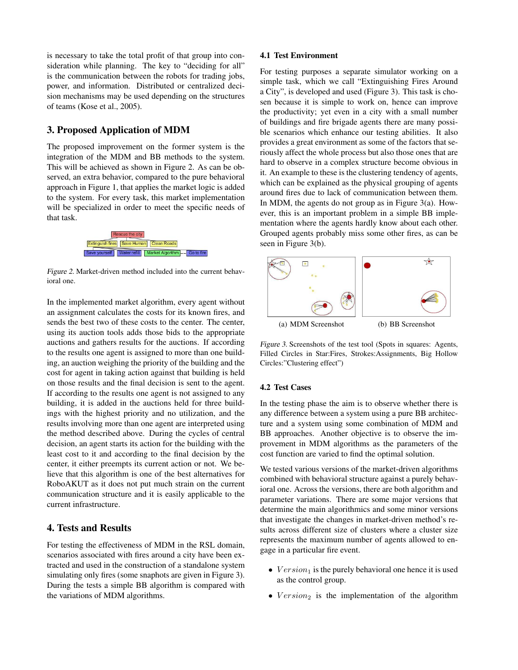is necessary to take the total profit of that group into consideration while planning. The key to "deciding for all" is the communication between the robots for trading jobs, power, and information. Distributed or centralized decision mechanisms may be used depending on the structures of teams (Kose et al., 2005).

# 3. Proposed Application of MDM

The proposed improvement on the former system is the integration of the MDM and BB methods to the system. This will be achieved as shown in Figure 2. As can be observed, an extra behavior, compared to the pure behavioral approach in Figure 1, that applies the market logic is added to the system. For every task, this market implementation will be specialized in order to meet the specific needs of that task.



Figure 2. Market-driven method included into the current behavioral one.

In the implemented market algorithm, every agent without an assignment calculates the costs for its known fires, and sends the best two of these costs to the center. The center, using its auction tools adds those bids to the appropriate auctions and gathers results for the auctions. If according to the results one agent is assigned to more than one building, an auction weighing the priority of the building and the cost for agent in taking action against that building is held on those results and the final decision is sent to the agent. If according to the results one agent is not assigned to any building, it is added in the auctions held for three buildings with the highest priority and no utilization, and the results involving more than one agent are interpreted using the method described above. During the cycles of central decision, an agent starts its action for the building with the least cost to it and according to the final decision by the center, it either preempts its current action or not. We believe that this algorithm is one of the best alternatives for RoboAKUT as it does not put much strain on the current communication structure and it is easily applicable to the current infrastructure.

## 4. Tests and Results

For testing the effectiveness of MDM in the RSL domain, scenarios associated with fires around a city have been extracted and used in the construction of a standalone system simulating only fires (some snaphots are given in Figure 3). During the tests a simple BB algorithm is compared with the variations of MDM algorithms.

#### 4.1 Test Environment

For testing purposes a separate simulator working on a simple task, which we call "Extinguishing Fires Around a City", is developed and used (Figure 3). This task is chosen because it is simple to work on, hence can improve the productivity; yet even in a city with a small number of buildings and fire brigade agents there are many possible scenarios which enhance our testing abilities. It also provides a great environment as some of the factors that seriously affect the whole process but also those ones that are hard to observe in a complex structure become obvious in it. An example to these is the clustering tendency of agents, which can be explained as the physical grouping of agents around fires due to lack of communication between them. In MDM, the agents do not group as in Figure 3(a). However, this is an important problem in a simple BB implementation where the agents hardly know about each other. Grouped agents probably miss some other fires, as can be seen in Figure 3(b).



Figure 3. Screenshots of the test tool (Spots in squares: Agents, Filled Circles in Star:Fires, Strokes:Assignments, Big Hollow Circles:"Clustering effect")

#### 4.2 Test Cases

In the testing phase the aim is to observe whether there is any difference between a system using a pure BB architecture and a system using some combination of MDM and BB approaches. Another objective is to observe the improvement in MDM algorithms as the parameters of the cost function are varied to find the optimal solution.

We tested various versions of the market-driven algorithms combined with behavioral structure against a purely behavioral one. Across the versions, there are both algorithm and parameter variations. There are some major versions that determine the main algorithmics and some minor versions that investigate the changes in market-driven method's results across different size of clusters where a cluster size represents the maximum number of agents allowed to engage in a particular fire event.

- $Version<sub>1</sub>$  is the purely behavioral one hence it is used as the control group.
- $Version<sub>2</sub>$  is the implementation of the algorithm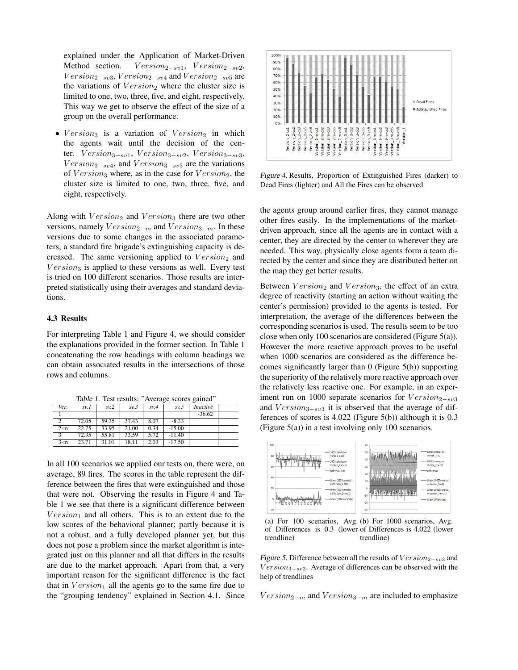explained under the Application of Market-Driven Method section.  $Version_{2-sv1}$ ,  $Version_{2-sv2}$ ,  $Version_{2-sv3}$ ,  $Version_{2-sv4}$  and  $Version_{2-sv5}$  are the variations of  $Version_2$  where the cluster size is limited to one, two, three, five, and eight, respectively. This way we get to observe the effect of the size of a group on the overall performance.

•  $Version<sub>3</sub>$  is a variation of  $Version<sub>2</sub>$  in which the agents wait until the decision of the center.  $Version_{3-sv1}$ ,  $Version_{3-sv2}$ ,  $Version_{3-sv3}$ ,  $Version_{3-sv4}$ , and  $Version_{3-sv5}$  are the variations of  $Version_3$  where, as in the case for  $Version_2$ , the cluster size is limited to one, two, three, five, and eight, respectively.

Along with  $Version_2$  and  $Version_3$  there are two other versions, namely  $Version_{2-m}$  and  $Version_{3-m}$ . In these versions due to some changes in the associated parameters, a standard fire brigade's extinguishing capacity is decreased. The same versioning applied to  $Version_2$  and  $Version<sub>3</sub>$  is applied to these versions as well. Every test is tried on 100 different scenarios. Those results are interpreted statistically using their averages and standard deviations.

#### 4.3 Results

For interpreting Table 1 and Figure 4, we should consider the explanations provided in the former section. In Table 1 concatenating the row headings with column headings we can obtain associated results in the intersections of those rows and columns.

|      |  |  | Table 1. Test results: "Average scores gained"     |  |
|------|--|--|----------------------------------------------------|--|
| Ver. |  |  | $sv.1$ $sv.2$ $sv.3$ $sv.4$ $sv.5$ <i>Inactive</i> |  |

| vez.  | 5V.1  | 5V <sub>1</sub> | ت را د | 5V.7 | ب را د   | macuve   |  |
|-------|-------|-----------------|--------|------|----------|----------|--|
|       |       |                 |        |      |          | $-36.62$ |  |
| ◠     | 72.05 | 59.35           | 37.43  | 8.07 | $-8.33$  |          |  |
| $2-m$ | 22.75 | 33.95           | 21.00  | 0.34 | $-15.00$ |          |  |
|       | 72.35 | 55.81           | 33.59  | 5.72 | $-11.40$ |          |  |
| $3-m$ | 23.71 | 31.01           | 18.11  | 2.03 | $-17.50$ |          |  |

In all 100 scenarios we applied our tests on, there were, on average, 89 fires. The scores in the table represent the difference between the fires that were extinguished and those that were not. Observing the results in Figure 4 and Table 1 we see that there is a significant difference between  $Version<sub>1</sub>$  and all others. This is to an extent due to the low scores of the behavioral planner; partly because it is not a robust, and a fully developed planner yet, but this does not pose a problem since the market algorithm is integrated just on this planner and all that differs in the results are due to the market approach. Apart from that, a very important reason for the significant difference is the fact that in  $Version<sub>1</sub>$  all the agents go to the same fire due to the "grouping tendency" explained in Section 4.1. Since



Figure 4. Results, Proportion of Extinguished Fires (darker) to Dead Fires (lighter) and All the Fires can be observed

the agents group around earlier fires, they cannot manage other fires easily. In the implementations of the marketdriven approach, since all the agents are in contact with a center, they are directed by the center to wherever they are needed. This way, physically close agents form a team directed by the center and since they are distributed better on the map they get better results.

Between  $Version_2$  and  $Version_3$ , the effect of an extra degree of reactivity (starting an action without waiting the center's permission) provided to the agents is tested. For interpretation, the average of the differences between the corresponding scenarios is used. The results seem to be too close when only 100 scenarios are considered (Figure 5(a)). However the more reactive approach proves to be useful when 1000 scenarios are considered as the difference becomes significantly larger than 0 (Figure 5(b)) supporting the superiority of the relatively more reactive approach over the relatively less reactive one. For example, in an experiment run on 1000 separate scenarios for  $Version_{2-sv3}$ and  $Version_{3-sv3}$  it is observed that the average of differences of scores is 4.022 (Figure 5(b)) although it is 0.3 (Figure 5(a)) in a test involving only 100 scenarios.



(a) For 100 scenarios, Avg. (b) For 1000 scenarios, Avg. of Differences is 0.3 (lower of Differences is 4.022 (lower trendline) trendline)

Figure 5. Difference between all the results of  $Version_{2-sv3}$  and  $Version_{3-sv3}$ . Average of differences can be observed with the help of trendlines

 $Version_{2-m}$  and  $Version_{3-m}$  are included to emphasize